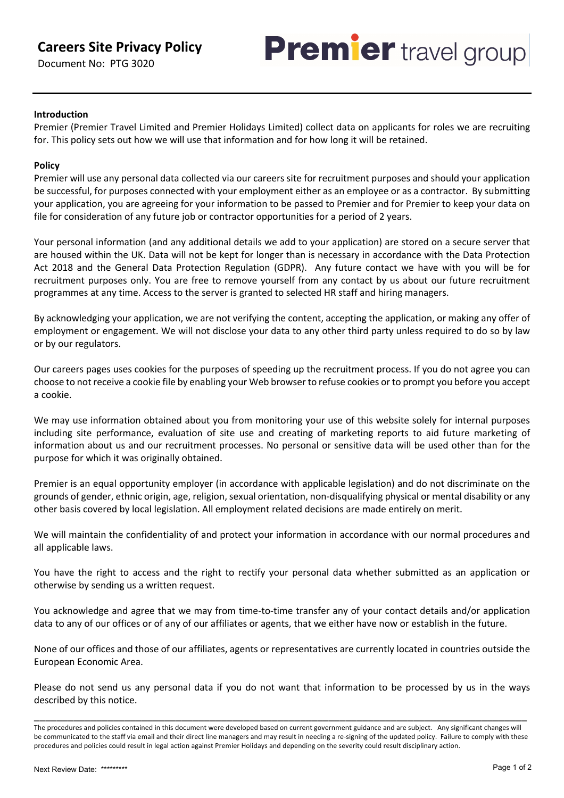# **Careers Site Privacy Policy**

Document No: PTG 3020



## **Introduction**

Premier (Premier Travel Limited and Premier Holidays Limited) collect data on applicants for roles we are recruiting for. This policy sets out how we will use that information and for how long it will be retained.

## **Policy**

Premier will use any personal data collected via our careers site for recruitment purposes and should your application be successful, for purposes connected with your employment either as an employee or as a contractor. By submitting your application, you are agreeing for your information to be passed to Premier and for Premier to keep your data on file for consideration of any future job or contractor opportunities for a period of 2 years.

Your personal information (and any additional details we add to your application) are stored on a secure server that are housed within the UK. Data will not be kept for longer than is necessary in accordance with the Data Protection Act 2018 and the General Data Protection Regulation (GDPR). Any future contact we have with you will be for recruitment purposes only. You are free to remove yourself from any contact by us about our future recruitment programmes at any time. Access to the server is granted to selected HR staff and hiring managers.

By acknowledging your application, we are not verifying the content, accepting the application, or making any offer of employment or engagement. We will not disclose your data to any other third party unless required to do so by law or by our regulators.

Our careers pages uses cookies for the purposes of speeding up the recruitment process. If you do not agree you can choose to not receive a cookie file by enabling your Web browser to refuse cookies or to prompt you before you accept a cookie.

We may use information obtained about you from monitoring your use of this website solely for internal purposes including site performance, evaluation of site use and creating of marketing reports to aid future marketing of information about us and our recruitment processes. No personal or sensitive data will be used other than for the purpose for which it was originally obtained.

Premier is an equal opportunity employer (in accordance with applicable legislation) and do not discriminate on the grounds of gender, ethnic origin, age, religion, sexual orientation, non-disqualifying physical or mental disability or any other basis covered by local legislation. All employment related decisions are made entirely on merit.

We will maintain the confidentiality of and protect your information in accordance with our normal procedures and all applicable laws.

You have the right to access and the right to rectify your personal data whether submitted as an application or otherwise by sending us a written request.

You acknowledge and agree that we may from time-to-time transfer any of your contact details and/or application data to any of our offices or of any of our affiliates or agents, that we either have now or establish in the future.

None of our offices and those of our affiliates, agents or representatives are currently located in countries outside the European Economic Area.

Please do not send us any personal data if you do not want that information to be processed by us in the ways described by this notice.

\_\_\_\_\_\_\_\_\_\_\_\_\_\_\_\_\_\_\_\_\_\_\_\_\_\_\_\_\_\_\_\_\_\_\_\_\_\_\_\_\_\_\_\_\_\_\_\_\_\_\_\_\_\_\_\_\_\_\_\_\_\_\_\_\_\_\_\_\_\_\_\_\_\_\_\_\_\_\_\_\_\_\_\_\_\_\_

The procedures and policies contained in this document were developed based on current government guidance and are subject. Any significant changes will be communicated to the staff via email and their direct line managers and may result in needing a re-signing of the updated policy. Failure to comply with these procedures and policies could result in legal action against Premier Holidays and depending on the severity could result disciplinary action.